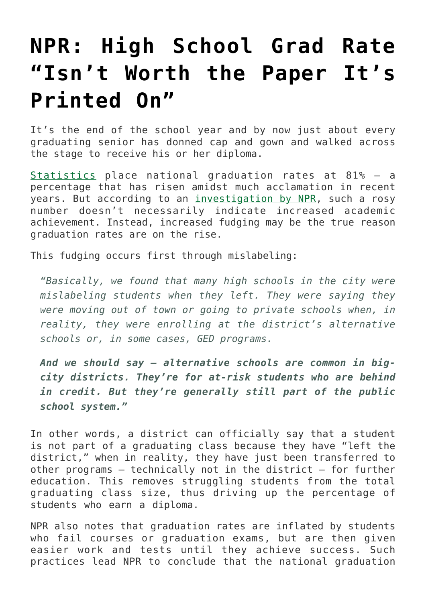## **[NPR: High School Grad Rate](https://intellectualtakeout.org/2015/06/npr-high-school-grad-rate-isnt-worth-the-paper-its-printed-on/) ["Isn't Worth the Paper It's](https://intellectualtakeout.org/2015/06/npr-high-school-grad-rate-isnt-worth-the-paper-its-printed-on/) [Printed On"](https://intellectualtakeout.org/2015/06/npr-high-school-grad-rate-isnt-worth-the-paper-its-printed-on/)**

It's the end of the school year and by now just about every graduating senior has donned cap and gown and walked across the stage to receive his or her diploma.

[Statistics](https://nces.ed.gov/ccd/tables/ACGR_2010-11_to_2012-13.asp) place national graduation rates at 81% – a percentage that has risen amidst much acclamation in recent years. But according to an [investigation by NPR,](http://www.npr.org/sections/ed/2015/06/10/412240568/raising-graduation-rates-with-questionable-quick-fixes) such a rosy number doesn't necessarily indicate increased academic achievement. Instead, increased fudging may be the true reason graduation rates are on the rise.

This fudging occurs first through mislabeling:

*"Basically, we found that many high schools in the city were mislabeling students when they left. They were saying they were moving out of town or going to private schools when, in reality, they were enrolling at the district's alternative schools or, in some cases, GED programs.*

*And we should say — alternative schools are common in bigcity districts. They're for at-risk students who are behind in credit. But they're generally still part of the public school system."*

In other words, a district can officially say that a student is not part of a graduating class because they have "left the district," when in reality, they have just been transferred to other programs – technically not in the district – for further education. This removes struggling students from the total graduating class size, thus driving up the percentage of students who earn a diploma.

NPR also notes that graduation rates are inflated by students who fail courses or graduation exams, but are then given easier work and tests until they achieve success. Such practices lead NPR to conclude that the national graduation